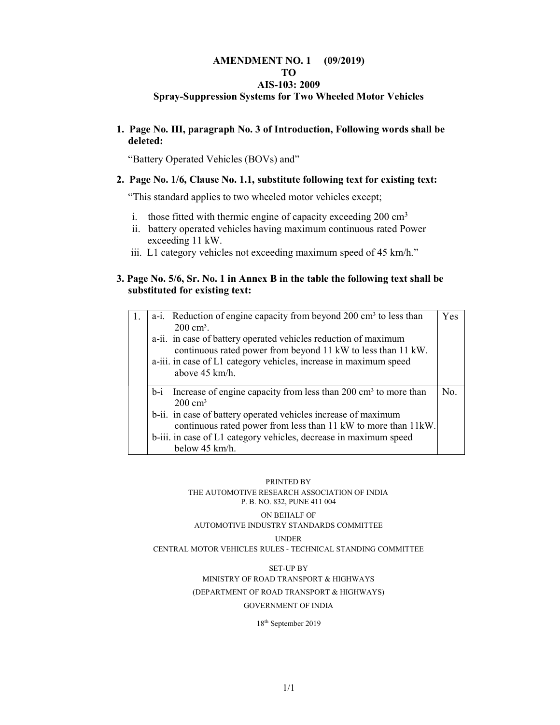#### AMENDMENT NO. 1 (09/2019) TO AIS-103: 2009 Spray-Suppression Systems for Two Wheeled Motor Vehicles

#### 1. Page No. III, paragraph No. 3 of Introduction, Following words shall be deleted:

"Battery Operated Vehicles (BOVs) and"

#### 2. Page No. 1/6, Clause No. 1.1, substitute following text for existing text:

"This standard applies to two wheeled motor vehicles except;

- i. those fitted with thermic engine of capacity exceeding  $200 \text{ cm}^3$
- ii. battery operated vehicles having maximum continuous rated Power exceeding 11 kW.
- iii. L1 category vehicles not exceeding maximum speed of 45 km/h."

#### 3. Page No. 5/6, Sr. No. 1 in Annex B in the table the following text shall be substituted for existing text:

| 1. | a-i. Reduction of engine capacity from beyond 200 cm <sup>3</sup> to less than<br>$200 \text{ cm}^3$ .                            | Yes |
|----|-----------------------------------------------------------------------------------------------------------------------------------|-----|
|    | a-ii. in case of battery operated vehicles reduction of maximum                                                                   |     |
|    | continuous rated power from beyond 11 kW to less than 11 kW.                                                                      |     |
|    | a-iii. in case of L1 category vehicles, increase in maximum speed<br>above 45 km/h.                                               |     |
|    | $b-i$ Increase of engine capacity from less than 200 cm <sup>3</sup> to more than<br>$200 \text{ cm}^3$                           | No. |
|    | b-ii. in case of battery operated vehicles increase of maximum<br>continuous rated power from less than 11 kW to more than 11 kW. |     |
|    | b-iii. in case of L1 category vehicles, decrease in maximum speed                                                                 |     |
|    | below 45 km/h.                                                                                                                    |     |

#### PRINTED BY THE AUTOMOTIVE RESEARCH ASSOCIATION OF INDIA P. B. NO. 832, PUNE 411 004 ON BEHALF OF

#### AUTOMOTIVE INDUSTRY STANDARDS COMMITTEE

UNDER

CENTRAL MOTOR VEHICLES RULES - TECHNICAL STANDING COMMITTEE

SET-UP BY MINISTRY OF ROAD TRANSPORT & HIGHWAYS (DEPARTMENT OF ROAD TRANSPORT & HIGHWAYS) GOVERNMENT OF INDIA

18th September 2019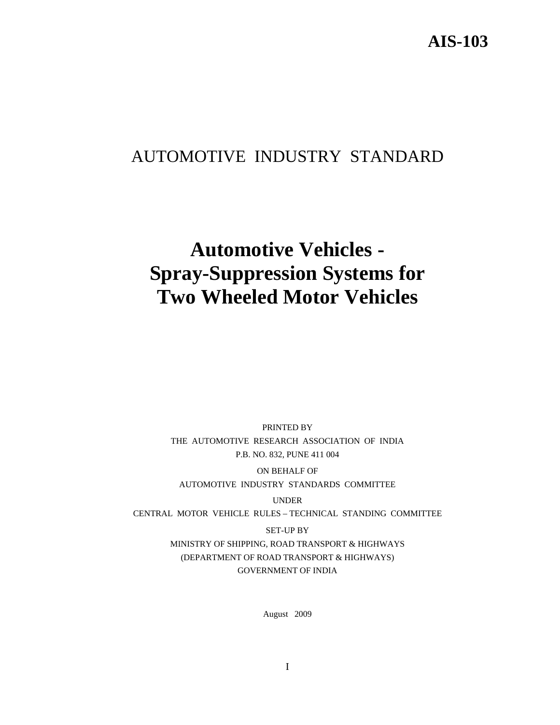## AUTOMOTIVE INDUSTRY STANDARD

# **Automotive Vehicles - Spray-Suppression Systems for Two Wheeled Motor Vehicles**

PRINTED BY THE AUTOMOTIVE RESEARCH ASSOCIATION OF INDIA P.B. NO. 832, PUNE 411 004

ON BEHALF OF AUTOMOTIVE INDUSTRY STANDARDS COMMITTEE

UNDER

CENTRAL MOTOR VEHICLE RULES – TECHNICAL STANDING COMMITTEE

SET-UP BY MINISTRY OF SHIPPING, ROAD TRANSPORT & HIGHWAYS (DEPARTMENT OF ROAD TRANSPORT & HIGHWAYS) GOVERNMENT OF INDIA

August 2009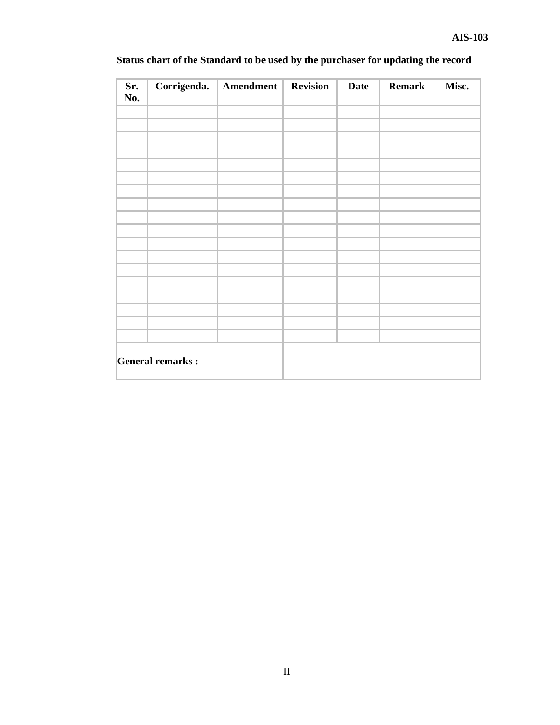| Sr.<br>No. | Corrigenda.             | Amendment | <b>Revision</b> | <b>Date</b> | <b>Remark</b> | Misc. |
|------------|-------------------------|-----------|-----------------|-------------|---------------|-------|
|            |                         |           |                 |             |               |       |
|            |                         |           |                 |             |               |       |
|            |                         |           |                 |             |               |       |
|            |                         |           |                 |             |               |       |
|            |                         |           |                 |             |               |       |
|            |                         |           |                 |             |               |       |
|            |                         |           |                 |             |               |       |
|            |                         |           |                 |             |               |       |
|            |                         |           |                 |             |               |       |
|            |                         |           |                 |             |               |       |
|            | <b>General remarks:</b> |           |                 |             |               |       |

## **Status chart of the Standard to be used by the purchaser for updating the record**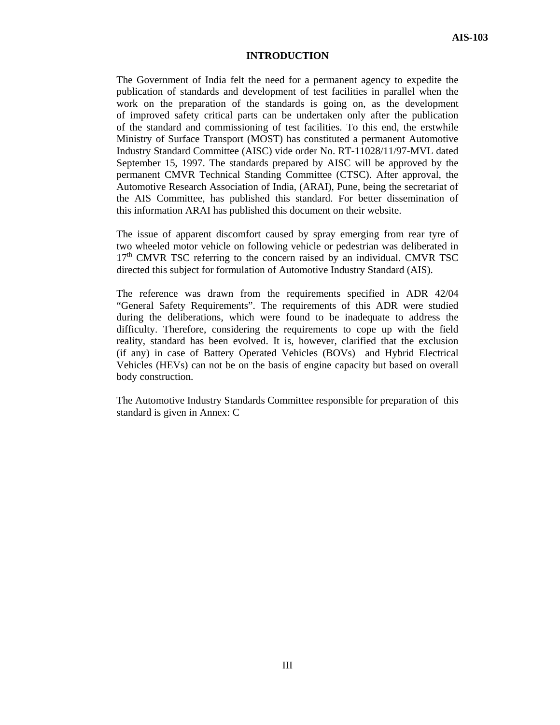#### **INTRODUCTION**

The Government of India felt the need for a permanent agency to expedite the publication of standards and development of test facilities in parallel when the work on the preparation of the standards is going on, as the development of improved safety critical parts can be undertaken only after the publication of the standard and commissioning of test facilities. To this end, the erstwhile Ministry of Surface Transport (MOST) has constituted a permanent Automotive Industry Standard Committee (AISC) vide order No. RT-11028/11/97-MVL dated September 15, 1997. The standards prepared by AISC will be approved by the permanent CMVR Technical Standing Committee (CTSC). After approval, the Automotive Research Association of India, (ARAI), Pune, being the secretariat of the AIS Committee, has published this standard. For better dissemination of this information ARAI has published this document on their website.

The issue of apparent discomfort caused by spray emerging from rear tyre of two wheeled motor vehicle on following vehicle or pedestrian was deliberated in  $17<sup>th</sup>$  CMVR TSC referring to the concern raised by an individual. CMVR TSC directed this subject for formulation of Automotive Industry Standard (AIS).

The reference was drawn from the requirements specified in ADR 42/04 "General Safety Requirements". The requirements of this ADR were studied during the deliberations, which were found to be inadequate to address the difficulty. Therefore, considering the requirements to cope up with the field reality, standard has been evolved. It is, however, clarified that the exclusion (if any) in case of Battery Operated Vehicles (BOVs) and Hybrid Electrical Vehicles (HEVs) can not be on the basis of engine capacity but based on overall body construction.

The Automotive Industry Standards Committee responsible for preparation of this standard is given in Annex: C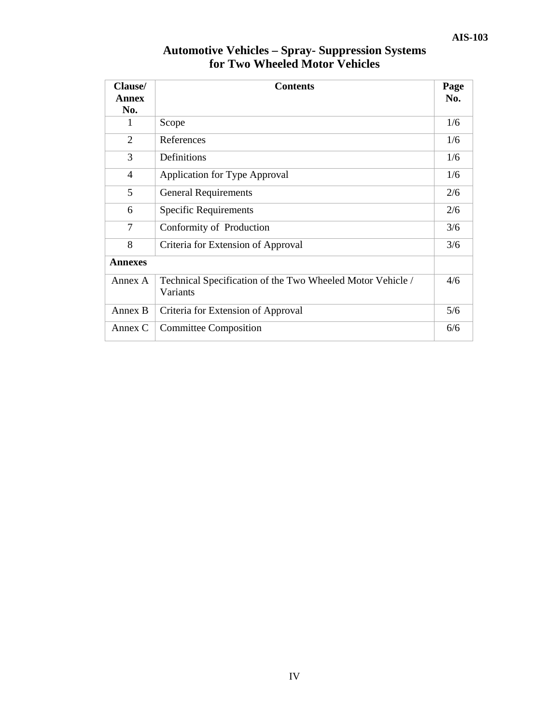| Clause/<br><b>Annex</b><br>No.                                                    | <b>Contents</b>                    | Page<br>No. |
|-----------------------------------------------------------------------------------|------------------------------------|-------------|
| 1                                                                                 | Scope                              | 1/6         |
| $\overline{2}$                                                                    | References                         | 1/6         |
| 3                                                                                 | Definitions                        | 1/6         |
| $\overline{4}$                                                                    | Application for Type Approval      | 1/6         |
| 5                                                                                 | <b>General Requirements</b>        | 2/6         |
| 6                                                                                 | <b>Specific Requirements</b>       | 2/6         |
| 7                                                                                 | Conformity of Production           | 3/6         |
| 8                                                                                 | Criteria for Extension of Approval | 3/6         |
| <b>Annexes</b>                                                                    |                                    |             |
| Technical Specification of the Two Wheeled Motor Vehicle /<br>Annex A<br>Variants |                                    | 4/6         |
| Annex B                                                                           | Criteria for Extension of Approval | 5/6         |
| Annex C                                                                           | <b>Committee Composition</b>       | 6/6         |

## **Automotive Vehicles – Spray- Suppression Systems for Two Wheeled Motor Vehicles**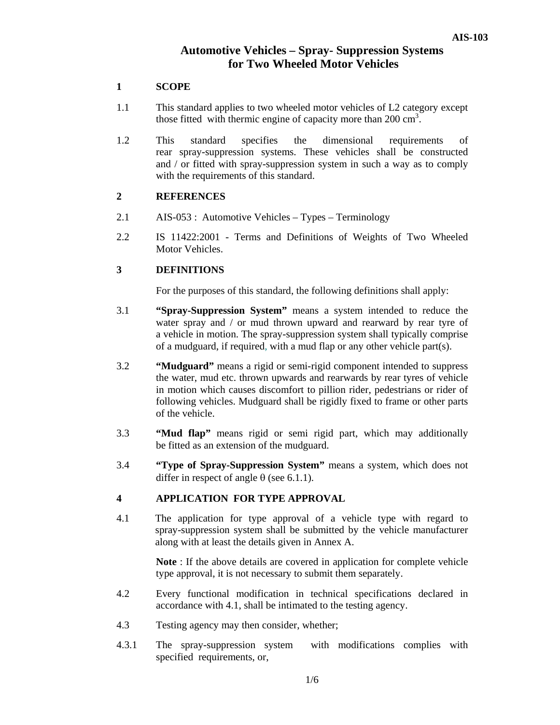## **Automotive Vehicles – Spray- Suppression Systems for Two Wheeled Motor Vehicles**

#### **1 SCOPE**

- 1.1 This standard applies to two wheeled motor vehicles of L2 category except those fitted with thermic engine of capacity more than  $200 \text{ cm}^3$ .
- 1.2 This standard specifies the dimensional requirements of rear spray-suppression systems. These vehicles shall be constructed and / or fitted with spray-suppression system in such a way as to comply with the requirements of this standard.

#### **2 REFERENCES**

- 2.1 AIS-053 : Automotive Vehicles Types Terminology
- 2.2 IS 11422:2001 Terms and Definitions of Weights of Two Wheeled Motor Vehicles.

#### **3 DEFINITIONS**

For the purposes of this standard, the following definitions shall apply:

- 3.1 **"Spray-Suppression System"** means a system intended to reduce the water spray and / or mud thrown upward and rearward by rear tyre of a vehicle in motion. The spray-suppression system shall typically comprise of a mudguard, if required, with a mud flap or any other vehicle part(s).
- 3.2 **"Mudguard"** means a rigid or semi-rigid component intended to suppress the water, mud etc. thrown upwards and rearwards by rear tyres of vehicle in motion which causes discomfort to pillion rider, pedestrians or rider of following vehicles. Mudguard shall be rigidly fixed to frame or other parts of the vehicle.
- 3.3 **"Mud flap"** means rigid or semi rigid part, which may additionally be fitted as an extension of the mudguard.
- 3.4 **"Type of Spray-Suppression System"** means a system, which does not differ in respect of angle  $\theta$  (see 6.1.1).

#### **4 APPLICATION FOR TYPE APPROVAL**

4.1 The application for type approval of a vehicle type with regard to spray-suppression system shall be submitted by the vehicle manufacturer along with at least the details given in Annex A.

> **Note** : If the above details are covered in application for complete vehicle type approval, it is not necessary to submit them separately.

- 4.2 Every functional modification in technical specifications declared in accordance with 4.1, shall be intimated to the testing agency.
- 4.3 Testing agency may then consider, whether;
- 4.3.1 The spray-suppression system with modifications complies with specified requirements, or,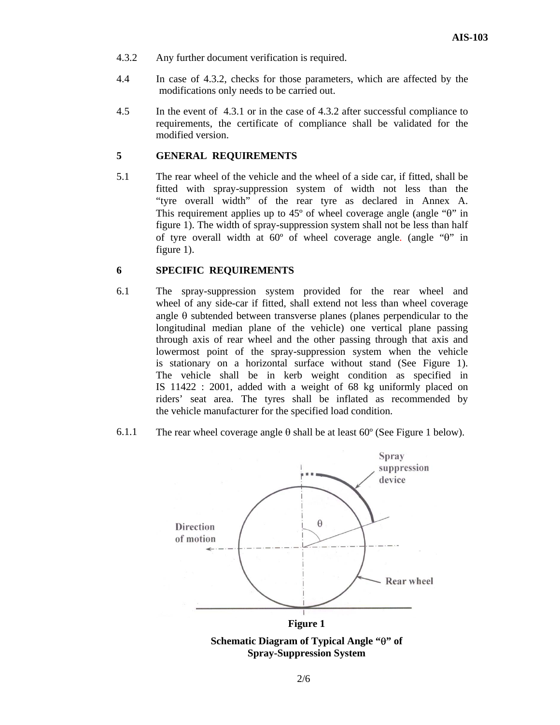- 4.3.2 Any further document verification is required.
- 4.4 In case of 4.3.2, checks for those parameters, which are affected by the modifications only needs to be carried out.
- 4.5 In the event of 4.3.1 or in the case of 4.3.2 after successful compliance to requirements, the certificate of compliance shall be validated for the modified version.

#### **5 GENERAL REQUIREMENTS**

5.1 The rear wheel of the vehicle and the wheel of a side car, if fitted, shall be fitted with spray-suppression system of width not less than the "tyre overall width" of the rear tyre as declared in Annex A. This requirement applies up to 45º of wheel coverage angle (angle "θ" in figure 1). The width of spray-suppression system shall not be less than half of tyre overall width at 60º of wheel coverage angle. (angle "θ" in figure 1).

#### **6 SPECIFIC REQUIREMENTS**

- 6.1 The spray-suppression system provided for the rear wheel and wheel of any side-car if fitted, shall extend not less than wheel coverage angle  $\theta$  subtended between transverse planes (planes perpendicular to the longitudinal median plane of the vehicle) one vertical plane passing through axis of rear wheel and the other passing through that axis and lowermost point of the spray-suppression system when the vehicle is stationary on a horizontal surface without stand (See Figure 1). The vehicle shall be in kerb weight condition as specified in IS 11422 : 2001, added with a weight of 68 kg uniformly placed on riders' seat area. The tyres shall be inflated as recommended by the vehicle manufacturer for the specified load condition.
- 6.1.1 The rear wheel coverage angle  $\theta$  shall be at least 60 $\degree$  (See Figure 1 below).



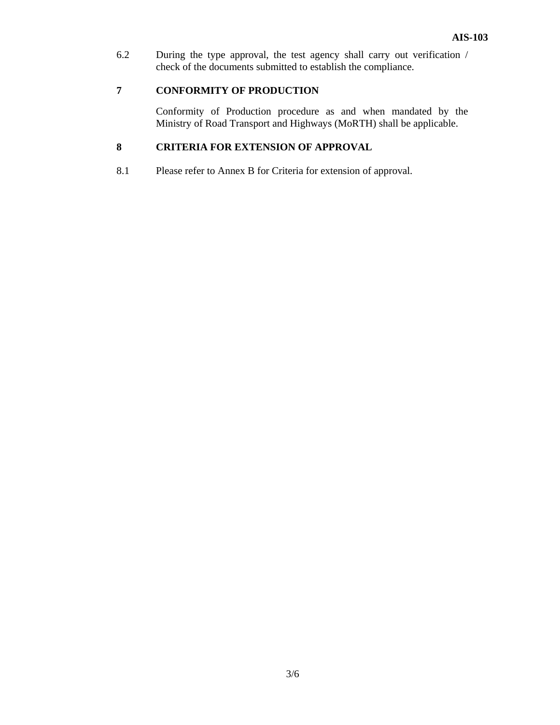6.2 During the type approval, the test agency shall carry out verification / check of the documents submitted to establish the compliance.

#### **7 CONFORMITY OF PRODUCTION**

 Conformity of Production procedure as and when mandated by the Ministry of Road Transport and Highways (MoRTH) shall be applicable.

## **8 CRITERIA FOR EXTENSION OF APPROVAL**

8.1 Please refer to Annex B for Criteria for extension of approval.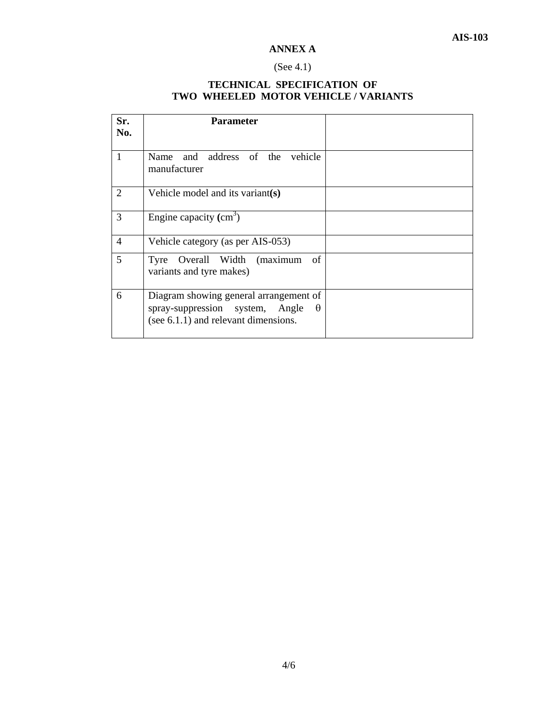## **ANNEX A**

## (See 4.1)

## **TECHNICAL SPECIFICATION OF TWO WHEELED MOTOR VEHICLE / VARIANTS**

| Sr.<br>No.     | <b>Parameter</b>                                                                                                              |  |
|----------------|-------------------------------------------------------------------------------------------------------------------------------|--|
| $\mathbf{1}$   | Name and address of the vehicle<br>manufacturer                                                                               |  |
| $\overline{2}$ | Vehicle model and its variant(s)                                                                                              |  |
| 3              | Engine capacity $(cm3)$                                                                                                       |  |
| $\overline{4}$ | Vehicle category (as per AIS-053)                                                                                             |  |
| 5              | of<br>Tyre Overall Width (maximum<br>variants and tyre makes)                                                                 |  |
| 6              | Diagram showing general arrangement of<br>spray-suppression system, Angle<br>$\theta$<br>(see 6.1.1) and relevant dimensions. |  |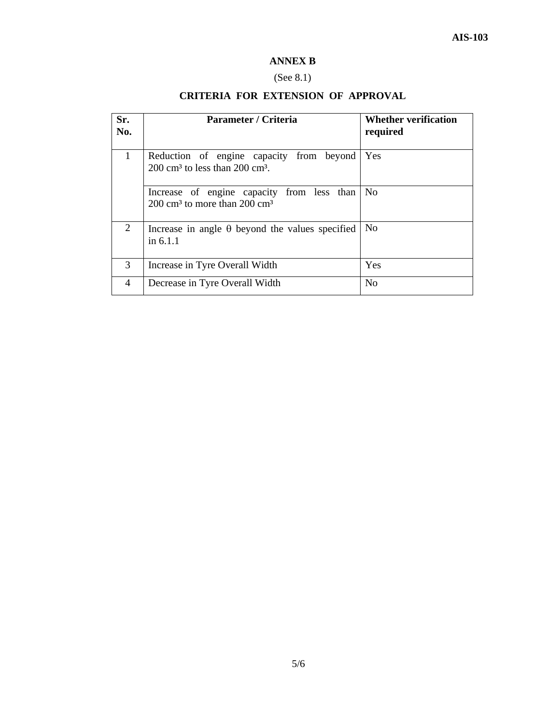## **ANNEX B**

## (See 8.1)

## **CRITERIA FOR EXTENSION OF APPROVAL**

| Sr.<br>No.     | Parameter / Criteria                                                                               | <b>Whether verification</b><br>required |
|----------------|----------------------------------------------------------------------------------------------------|-----------------------------------------|
| $\mathbf{1}$   | Reduction of engine capacity from beyond<br>$200 \text{ cm}^3$ to less than $200 \text{ cm}^3$ .   | <b>Yes</b>                              |
|                | Increase of engine capacity from less than<br>200 cm <sup>3</sup> to more than 200 cm <sup>3</sup> | No                                      |
| $\overline{2}$ | Increase in angle $\theta$ beyond the values specified<br>in $6.1.1$                               | N <sub>0</sub>                          |
| 3              | Increase in Tyre Overall Width                                                                     | Yes                                     |
| 4              | Decrease in Tyre Overall Width                                                                     | N <sub>0</sub>                          |